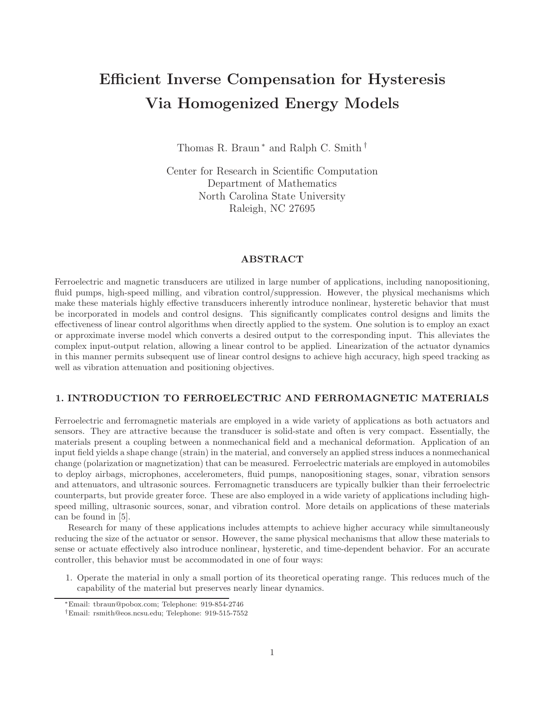# Efficient Inverse Compensation for Hysteresis Via Homogenized Energy Models

Thomas R. Braun<sup>∗</sup> and Ralph C. Smith<sup>†</sup>

Center for Research in Scientific Computation Department of Mathematics North Carolina State University Raleigh, NC 27695

# ABSTRACT

Ferroelectric and magnetic transducers are utilized in large number of applications, including nanopositioning, fluid pumps, high-speed milling, and vibration control/suppression. However, the physical mechanisms which make these materials highly effective transducers inherently introduce nonlinear, hysteretic behavior that must be incorporated in models and control designs. This significantly complicates control designs and limits the effectiveness of linear control algorithms when directly applied to the system. One solution is to employ an exact or approximate inverse model which converts a desired output to the corresponding input. This alleviates the complex input-output relation, allowing a linear control to be applied. Linearization of the actuator dynamics in this manner permits subsequent use of linear control designs to achieve high accuracy, high speed tracking as well as vibration attenuation and positioning objectives.

# 1. INTRODUCTION TO FERROELECTRIC AND FERROMAGNETIC MATERIALS

Ferroelectric and ferromagnetic materials are employed in a wide variety of applications as both actuators and sensors. They are attractive because the transducer is solid-state and often is very compact. Essentially, the materials present a coupling between a nonmechanical field and a mechanical deformation. Application of an input field yields a shape change (strain) in the material, and conversely an applied stress induces a nonmechanical change (polarization or magnetization) that can be measured. Ferroelectric materials are employed in automobiles to deploy airbags, microphones, accelerometers, fluid pumps, nanopositioning stages, sonar, vibration sensors and attenuators, and ultrasonic sources. Ferromagnetic transducers are typically bulkier than their ferroelectric counterparts, but provide greater force. These are also employed in a wide variety of applications including highspeed milling, ultrasonic sources, sonar, and vibration control. More details on applications of these materials can be found in [5].

Research for many of these applications includes attempts to achieve higher accuracy while simultaneously reducing the size of the actuator or sensor. However, the same physical mechanisms that allow these materials to sense or actuate effectively also introduce nonlinear, hysteretic, and time-dependent behavior. For an accurate controller, this behavior must be accommodated in one of four ways:

1. Operate the material in only a small portion of its theoretical operating range. This reduces much of the capability of the material but preserves nearly linear dynamics.

<sup>∗</sup>Email: tbraun@pobox.com; Telephone: 919-854-2746

<sup>†</sup>Email: rsmith@eos.ncsu.edu; Telephone: 919-515-7552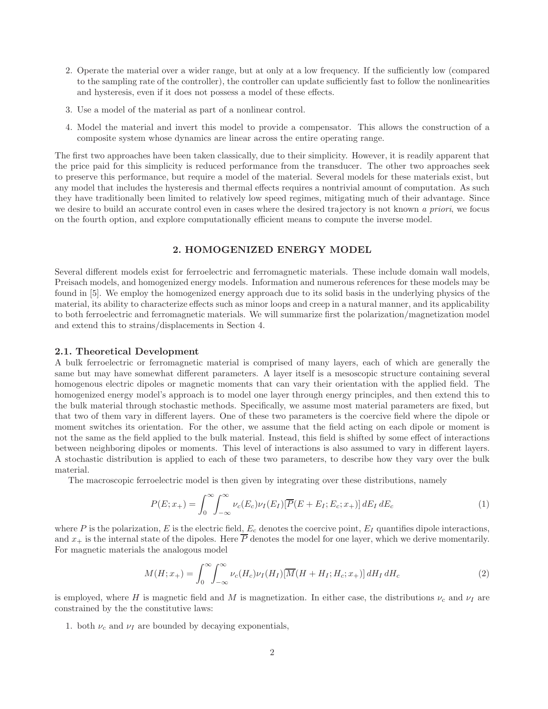- 2. Operate the material over a wider range, but at only at a low frequency. If the sufficiently low (compared to the sampling rate of the controller), the controller can update sufficiently fast to follow the nonlinearities and hysteresis, even if it does not possess a model of these effects.
- 3. Use a model of the material as part of a nonlinear control.
- 4. Model the material and invert this model to provide a compensator. This allows the construction of a composite system whose dynamics are linear across the entire operating range.

The first two approaches have been taken classically, due to their simplicity. However, it is readily apparent that the price paid for this simplicity is reduced performance from the transducer. The other two approaches seek to preserve this performance, but require a model of the material. Several models for these materials exist, but any model that includes the hysteresis and thermal effects requires a nontrivial amount of computation. As such they have traditionally been limited to relatively low speed regimes, mitigating much of their advantage. Since we desire to build an accurate control even in cases where the desired trajectory is not known a priori, we focus on the fourth option, and explore computationally efficient means to compute the inverse model.

# 2. HOMOGENIZED ENERGY MODEL

Several different models exist for ferroelectric and ferromagnetic materials. These include domain wall models, Preisach models, and homogenized energy models. Information and numerous references for these models may be found in [5]. We employ the homogenized energy approach due to its solid basis in the underlying physics of the material, its ability to characterize effects such as minor loops and creep in a natural manner, and its applicability to both ferroelectric and ferromagnetic materials. We will summarize first the polarization/magnetization model and extend this to strains/displacements in Section 4.

## 2.1. Theoretical Development

A bulk ferroelectric or ferromagnetic material is comprised of many layers, each of which are generally the same but may have somewhat different parameters. A layer itself is a mesoscopic structure containing several homogenous electric dipoles or magnetic moments that can vary their orientation with the applied field. The homogenized energy model's approach is to model one layer through energy principles, and then extend this to the bulk material through stochastic methods. Specifically, we assume most material parameters are fixed, but that two of them vary in different layers. One of these two parameters is the coercive field where the dipole or moment switches its orientation. For the other, we assume that the field acting on each dipole or moment is not the same as the field applied to the bulk material. Instead, this field is shifted by some effect of interactions between neighboring dipoles or moments. This level of interactions is also assumed to vary in different layers. A stochastic distribution is applied to each of these two parameters, to describe how they vary over the bulk material.

The macroscopic ferroelectric model is then given by integrating over these distributions, namely

$$
P(E; x_{+}) = \int_{0}^{\infty} \int_{-\infty}^{\infty} \nu_{c}(E_{c}) \nu_{I}(E_{I}) [\overline{P}(E + E_{I}; E_{c}; x_{+})] dE_{I} dE_{c}
$$
\n(1)

where P is the polarization, E is the electric field,  $E_c$  denotes the coercive point,  $E_I$  quantifies dipole interactions, and  $x_+$  is the internal state of the dipoles. Here  $\overline{P}$  denotes the model for one layer, which we derive momentarily. For magnetic materials the analogous model

$$
M(H; x+) = \int_0^\infty \int_{-\infty}^\infty \nu_c(H_c) \nu_I(H_I) [\overline{M}(H + H_I; H_c; x+)] dH_I dH_c
$$
\n(2)

is employed, where H is magnetic field and M is magnetization. In either case, the distributions  $\nu_c$  and  $\nu_I$  are constrained by the the constitutive laws:

1. both  $\nu_c$  and  $\nu_I$  are bounded by decaying exponentials,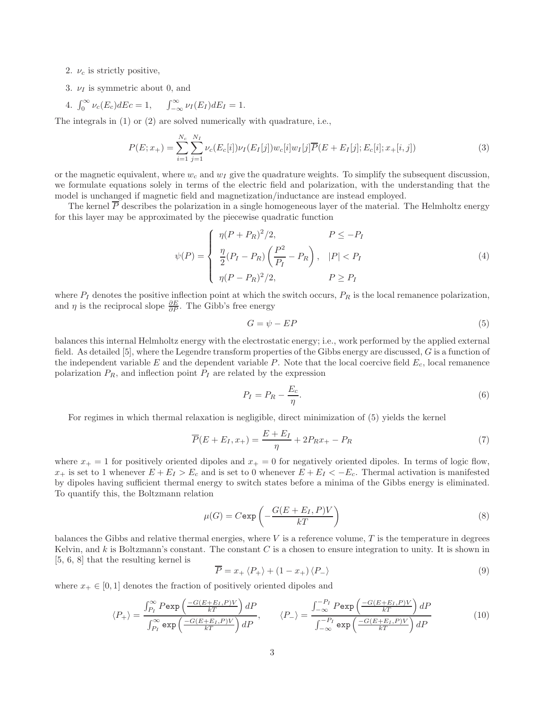- 2.  $\nu_c$  is strictly positive,
- 3.  $\nu_I$  is symmetric about 0, and

4. 
$$
\int_0^\infty \nu_c(E_c)dEc = 1, \qquad \int_{-\infty}^\infty \nu_I(E_I)dE_I = 1.
$$

The integrals in (1) or (2) are solved numerically with quadrature, i.e.,

$$
P(E; x_{+}) = \sum_{i=1}^{N_{c}} \sum_{j=1}^{N_{I}} \nu_{c}(E_{c}[i]) \nu_{I}(E_{I}[j]) w_{c}[i] w_{I}[j] \overline{P}(E + E_{I}[j]; E_{c}[i]; x_{+}[i, j])
$$
\n(3)

or the magnetic equivalent, where  $w_c$  and  $w_l$  give the quadrature weights. To simplify the subsequent discussion, we formulate equations solely in terms of the electric field and polarization, with the understanding that the model is unchanged if magnetic field and magnetization/inductance are instead employed.

The kernel  $\overline{P}$  describes the polarization in a single homogeneous layer of the material. The Helmholtz energy for this layer may be approximated by the piecewise quadratic function

$$
\psi(P) = \begin{cases}\n\eta(P + P_R)^2/2, & P \le -P_I \\
\frac{\eta}{2}(P_I - P_R) \left(\frac{P^2}{P_I} - P_R\right), & |P| < P_I \\
\eta(P - P_R)^2/2, & P \ge P_I\n\end{cases} \tag{4}
$$

where  $P_I$  denotes the positive inflection point at which the switch occurs,  $P_R$  is the local remanence polarization, and  $\eta$  is the reciprocal slope  $\frac{\partial E}{\partial P}$ . The Gibb's free energy

$$
G = \psi - EP \tag{5}
$$

balances this internal Helmholtz energy with the electrostatic energy; i.e., work performed by the applied external field. As detailed [5], where the Legendre transform properties of the Gibbs energy are discussed, G is a function of the independent variable  $E$  and the dependent variable  $P$ . Note that the local coercive field  $E_c$ , local remanence polarization  $P_R$ , and inflection point  $P_I$  are related by the expression

$$
P_I = P_R - \frac{E_c}{\eta}.\tag{6}
$$

For regimes in which thermal relaxation is negligible, direct minimization of (5) yields the kernel

$$
\overline{P}(E + E_I, x_+) = \frac{E + E_I}{\eta} + 2P_R x_+ - P_R \tag{7}
$$

where  $x_+ = 1$  for positively oriented dipoles and  $x_+ = 0$  for negatively oriented dipoles. In terms of logic flow,  $x_+$  is set to 1 whenever  $E + E_I > E_c$  and is set to 0 whenever  $E + E_I < -E_c$ . Thermal activation is manifested by dipoles having sufficient thermal energy to switch states before a minima of the Gibbs energy is eliminated. To quantify this, the Boltzmann relation

$$
\mu(G) = C \exp\left(-\frac{G(E + E_I, P)V}{kT}\right) \tag{8}
$$

balances the Gibbs and relative thermal energies, where  $V$  is a reference volume,  $T$  is the temperature in degrees Kelvin, and k is Boltzmann's constant. The constant  $C$  is a chosen to ensure integration to unity. It is shown in [5, 6, 8] that the resulting kernel is

$$
\overline{P} = x_+ \langle P_+ \rangle + (1 - x_+) \langle P_- \rangle \tag{9}
$$

where  $x_+ \in [0, 1]$  denotes the fraction of positively oriented dipoles and

$$
\langle P_{+} \rangle = \frac{\int_{P_{I}}^{\infty} P \exp\left(\frac{-G(E + E_{I}, P)V}{kT}\right) dP}{\int_{P_{I}}^{\infty} \exp\left(\frac{-G(E + E_{I}, P)V}{kT}\right) dP}, \qquad \langle P_{-} \rangle = \frac{\int_{-\infty}^{-P_{I}} P \exp\left(\frac{-G(E + E_{I}, P)V}{kT}\right) dP}{\int_{-\infty}^{-P_{I}} \exp\left(\frac{-G(E + E_{I}, P)V}{kT}\right) dP} \qquad (10)
$$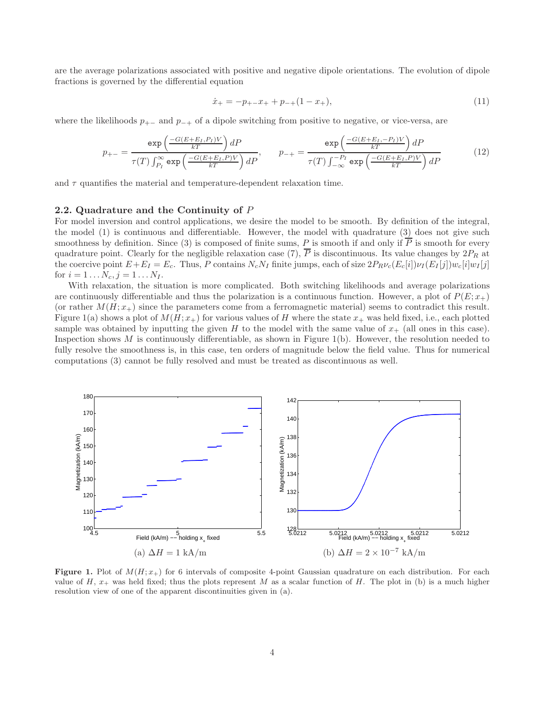are the average polarizations associated with positive and negative dipole orientations. The evolution of dipole fractions is governed by the differential equation

$$
\dot{x}_{+} = -p_{+-}x_{+} + p_{-+}(1 - x_{+}),\tag{11}
$$

where the likelihoods  $p_{+-}$  and  $p_{-+}$  of a dipole switching from positive to negative, or vice-versa, are

$$
p_{+-} = \frac{\exp\left(\frac{-G(E+E_I, P_I)V}{kT}\right)dP}{\tau(T)\int_{P_I}^{\infty}\exp\left(\frac{-G(E+E_I, P)V}{kT}\right)dP}, \qquad p_{-+} = \frac{\exp\left(\frac{-G(E+E_I, -P_I)V}{kT}\right)dP}{\tau(T)\int_{-\infty}^{-P_I}\exp\left(\frac{-G(E+E_I, P)V}{kT}\right)dP} \tag{12}
$$

and  $\tau$  quantifies the material and temperature-dependent relaxation time.

## 2.2. Quadrature and the Continuity of P

For model inversion and control applications, we desire the model to be smooth. By definition of the integral, the model (1) is continuous and differentiable. However, the model with quadrature (3) does not give such smoothness by definition. Since (3) is composed of finite sums, P is smooth if and only if  $\overline{P}$  is smooth for every quadrature point. Clearly for the negligible relaxation case (7),  $\overline{P}$  is discontinuous. Its value changes by  $2P_R$  at the coercive point  $E+E_I = E_c$ . Thus, P contains  $N_cN_I$  finite jumps, each of size  $2P_R\nu_c(E_c[i])\nu_I(E_I[j])w_c[i]w_I[j]$ for  $i = 1...N_c, j = 1...N_I$ .

With relaxation, the situation is more complicated. Both switching likelihoods and average polarizations are continuously differentiable and thus the polarization is a continuous function. However, a plot of  $P(E; x_+)$ (or rather  $M(H; x<sub>+</sub>)$  since the parameters come from a ferromagnetic material) seems to contradict this result. Figure 1(a) shows a plot of  $M(H; x<sub>+</sub>)$  for various values of H where the state  $x<sub>+</sub>$  was held fixed, i.e., each plotted sample was obtained by inputting the given H to the model with the same value of  $x_+$  (all ones in this case). Inspection shows  $M$  is continuously differentiable, as shown in Figure 1(b). However, the resolution needed to fully resolve the smoothness is, in this case, ten orders of magnitude below the field value. Thus for numerical computations (3) cannot be fully resolved and must be treated as discontinuous as well.



Figure 1. Plot of  $M(H; x<sub>+</sub>)$  for 6 intervals of composite 4-point Gaussian quadrature on each distribution. For each value of H,  $x_+$  was held fixed; thus the plots represent M as a scalar function of H. The plot in (b) is a much higher resolution view of one of the apparent discontinuities given in (a).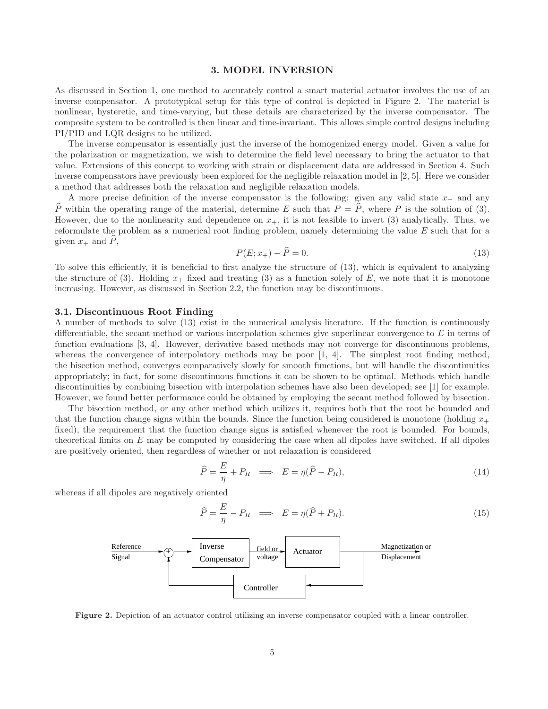#### 3. MODEL INVERSION

As discussed in Section 1, one method to accurately control a smart material actuator involves the use of an inverse compensator. A prototypical setup for this type of control is depicted in Figure 2. The material is nonlinear, hysteretic, and time-varying, but these details are characterized by the inverse compensator. The composite system to be controlled is then linear and time-invariant. This allows simple control designs including PI/PID and LQR designs to be utilized.

The inverse compensator is essentially just the inverse of the homogenized energy model. Given a value for the polarization or magnetization, we wish to determine the field level necessary to bring the actuator to that value. Extensions of this concept to working with strain or displacement data are addressed in Section 4. Such inverse compensators have previously been explored for the negligible relaxation model in [2, 5]. Here we consider a method that addresses both the relaxation and negligible relaxation models.

A more precise definition of the inverse compensator is the following: given any valid state  $x_+$  and any  $\widehat{P}$  within the operating range of the material, determine E such that  $P = \widehat{P}$ , where P is the solution of (3). However, due to the nonlinearity and dependence on  $x_{+}$ , it is not feasible to invert (3) analytically. Thus, we reformulate the problem as a numerical root finding problem, namely determining the value  $E$  such that for a given  $x_+$  and  $P$ ,

$$
P(E; x_+) - \widehat{P} = 0. \tag{13}
$$

To solve this efficiently, it is beneficial to first analyze the structure of (13), which is equivalent to analyzing the structure of (3). Holding  $x_+$  fixed and treating (3) as a function solely of E, we note that it is monotone increasing. However, as discussed in Section 2.2, the function may be discontinuous.

## 3.1. Discontinuous Root Finding

A number of methods to solve (13) exist in the numerical analysis literature. If the function is continuously differentiable, the secant method or various interpolation schemes give superlinear convergence to  $E$  in terms of function evaluations [3, 4]. However, derivative based methods may not converge for discontinuous problems, whereas the convergence of interpolatory methods may be poor [1, 4]. The simplest root finding method, the bisection method, converges comparatively slowly for smooth functions, but will handle the discontinuities appropriately; in fact, for some discontinuous functions it can be shown to be optimal. Methods which handle discontinuities by combining bisection with interpolation schemes have also been developed; see [1] for example. However, we found better performance could be obtained by employing the secant method followed by bisection.

The bisection method, or any other method which utilizes it, requires both that the root be bounded and that the function change signs within the bounds. Since the function being considered is monotone (holding  $x_+$ fixed), the requirement that the function change signs is satisfied whenever the root is bounded. For bounds, theoretical limits on E may be computed by considering the case when all dipoles have switched. If all dipoles are positively oriented, then regardless of whether or not relaxation is considered

$$
\widehat{P} = \frac{E}{\eta} + P_R \implies E = \eta(\widehat{P} - P_R),\tag{14}
$$

whereas if all dipoles are negatively oriented

$$
\widehat{P} = \frac{E}{\eta} - P_R \implies E = \eta(\widehat{P} + P_R). \tag{15}
$$



Figure 2. Depiction of an actuator control utilizing an inverse compensator coupled with a linear controller.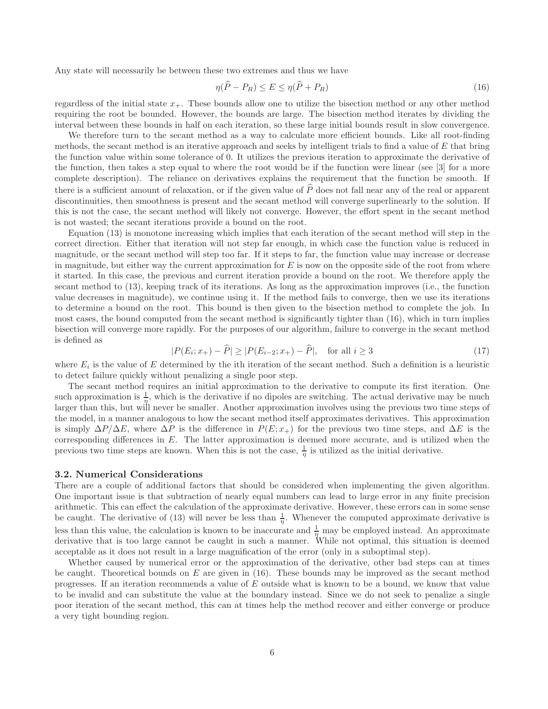Any state will necessarily be between these two extremes and thus we have

$$
\eta(\overline{P} - P_R) \le E \le \eta(\overline{P} + P_R) \tag{16}
$$

regardless of the initial state  $x_{+}$ . These bounds allow one to utilize the bisection method or any other method requiring the root be bounded. However, the bounds are large. The bisection method iterates by dividing the interval between these bounds in half on each iteration, so these large initial bounds result in slow convergence.

We therefore turn to the secant method as a way to calculate more efficient bounds. Like all root-finding methods, the secant method is an iterative approach and seeks by intelligent trials to find a value of  $E$  that bring the function value within some tolerance of 0. It utilizes the previous iteration to approximate the derivative of the function, then takes a step equal to where the root would be if the function were linear (see [3] for a more complete description). The reliance on derivatives explains the requirement that the function be smooth. If there is a sufficient amount of relaxation, or if the given value of  $\tilde{P}$  does not fall near any of the real or apparent discontinuities, then smoothness is present and the secant method will converge superlinearly to the solution. If this is not the case, the secant method will likely not converge. However, the effort spent in the secant method is not wasted; the secant iterations provide a bound on the root.

Equation (13) is monotone increasing which implies that each iteration of the secant method will step in the correct direction. Either that iteration will not step far enough, in which case the function value is reduced in magnitude, or the secant method will step too far. If it steps to far, the function value may increase or decrease in magnitude, but either way the current approximation for  $E$  is now on the opposite side of the root from where it started. In this case, the previous and current iteration provide a bound on the root. We therefore apply the secant method to (13), keeping track of its iterations. As long as the approximation improves (i.e., the function value decreases in magnitude), we continue using it. If the method fails to converge, then we use its iterations to determine a bound on the root. This bound is then given to the bisection method to complete the job. In most cases, the bound computed from the secant method is significantly tighter than (16), which in turn implies bisection will converge more rapidly. For the purposes of our algorithm, failure to converge in the secant method is defined as

$$
|P(E_i; x_+) - \widehat{P}| \ge |P(E_{i-2}; x_+) - \widehat{P}|, \quad \text{for all } i \ge 3
$$
 (17)

where  $E_i$  is the value of E determined by the ith iteration of the secant method. Such a definition is a heuristic to detect failure quickly without penalizing a single poor step.

The secant method requires an initial approximation to the derivative to compute its first iteration. One such approximation is  $\frac{1}{\eta}$ , which is the derivative if no dipoles are switching. The actual derivative may be much larger than this, but will never be smaller. Another approximation involves using the previous two time steps of the model, in a manner analogous to how the secant method itself approximates derivatives. This approximation is simply  $\Delta P/\Delta E$ , where  $\Delta P$  is the difference in  $P(E; x<sub>+</sub>)$  for the previous two time steps, and  $\Delta E$  is the corresponding differences in  $E$ . The latter approximation is deemed more accurate, and is utilized when the previous two time steps are known. When this is not the case,  $\frac{1}{\eta}$  is utilized as the initial derivative.

## 3.2. Numerical Considerations

There are a couple of additional factors that should be considered when implementing the given algorithm. One important issue is that subtraction of nearly equal numbers can lead to large error in any finite precision arithmetic. This can effect the calculation of the approximate derivative. However, these errors can in some sense be caught. The derivative of (13) will never be less than  $\frac{1}{\eta}$ . Whenever the computed approximate derivative is less than this value, the calculation is known to be inaccurate and  $\frac{1}{\eta}$  may be employed instead. An approximate derivative that is too large cannot be caught in such a manner. While not optimal, this situation is deemed acceptable as it does not result in a large magnification of the error (only in a suboptimal step).

Whether caused by numerical error or the approximation of the derivative, other bad steps can at times be caught. Theoretical bounds on  $E$  are given in (16). These bounds may be improved as the secant method progresses. If an iteration recommends a value of E outside what is known to be a bound, we know that value to be invalid and can substitute the value at the boundary instead. Since we do not seek to penalize a single poor iteration of the secant method, this can at times help the method recover and either converge or produce a very tight bounding region.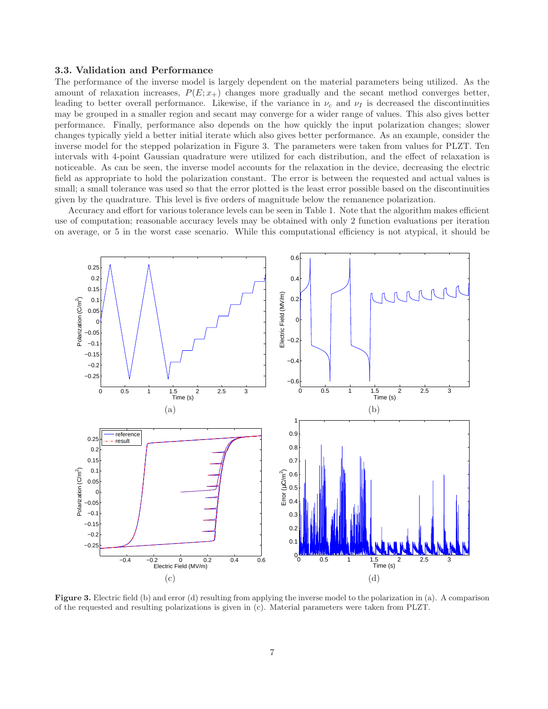## 3.3. Validation and Performance

The performance of the inverse model is largely dependent on the material parameters being utilized. As the amount of relaxation increases,  $P(E; x<sub>+</sub>)$  changes more gradually and the secant method converges better, leading to better overall performance. Likewise, if the variance in  $\nu_c$  and  $\nu_I$  is decreased the discontinuities may be grouped in a smaller region and secant may converge for a wider range of values. This also gives better performance. Finally, performance also depends on the how quickly the input polarization changes; slower changes typically yield a better initial iterate which also gives better performance. As an example, consider the inverse model for the stepped polarization in Figure 3. The parameters were taken from values for PLZT. Ten intervals with 4-point Gaussian quadrature were utilized for each distribution, and the effect of relaxation is noticeable. As can be seen, the inverse model accounts for the relaxation in the device, decreasing the electric field as appropriate to hold the polarization constant. The error is between the requested and actual values is small; a small tolerance was used so that the error plotted is the least error possible based on the discontinuities given by the quadrature. This level is five orders of magnitude below the remanence polarization.

Accuracy and effort for various tolerance levels can be seen in Table 1. Note that the algorithm makes efficient use of computation; reasonable accuracy levels may be obtained with only 2 function evaluations per iteration on average, or 5 in the worst case scenario. While this computational efficiency is not atypical, it should be



Figure 3. Electric field (b) and error (d) resulting from applying the inverse model to the polarization in (a). A comparison of the requested and resulting polarizations is given in (c). Material parameters were taken from PLZT.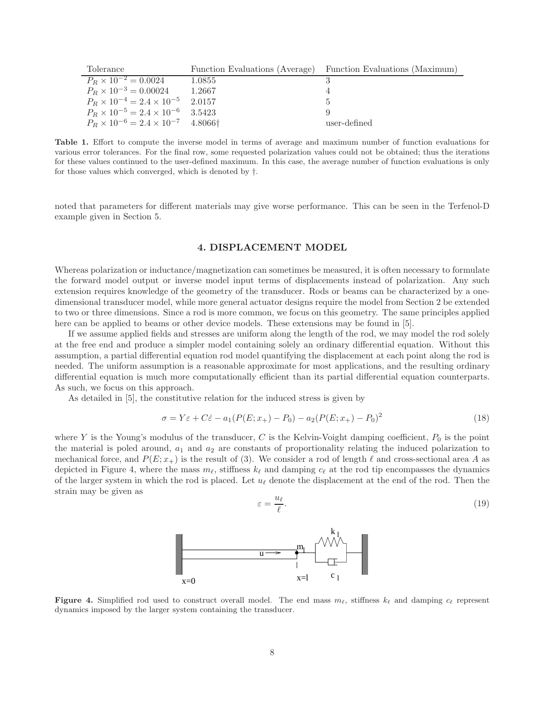| Tolerance                                                     |        | Function Evaluations (Average) Function Evaluations (Maximum) |
|---------------------------------------------------------------|--------|---------------------------------------------------------------|
| $P_R \times 10^{-2} = 0.0024$                                 | 1.0855 |                                                               |
| $P_R \times 10^{-3} = 0.00024$                                | 1.2667 |                                                               |
| $P_R \times 10^{-4} = 2.4 \times 10^{-5}$ 2.0157              |        |                                                               |
| $P_R \times 10^{-5} = 2.4 \times 10^{-6}$ 3.5423              |        |                                                               |
| $P_R \times 10^{-6} = 2.4 \times 10^{-7}$ 4.8066 <sup>+</sup> |        | user-defined                                                  |

Table 1. Effort to compute the inverse model in terms of average and maximum number of function evaluations for various error tolerances. For the final row, some requested polarization values could not be obtained; thus the iterations for these values continued to the user-defined maximum. In this case, the average number of function evaluations is only for those values which converged, which is denoted by †.

noted that parameters for different materials may give worse performance. This can be seen in the Terfenol-D example given in Section 5.

# 4. DISPLACEMENT MODEL

Whereas polarization or inductance/magnetization can sometimes be measured, it is often necessary to formulate the forward model output or inverse model input terms of displacements instead of polarization. Any such extension requires knowledge of the geometry of the transducer. Rods or beams can be characterized by a onedimensional transducer model, while more general actuator designs require the model from Section 2 be extended to two or three dimensions. Since a rod is more common, we focus on this geometry. The same principles applied here can be applied to beams or other device models. These extensions may be found in [5].

If we assume applied fields and stresses are uniform along the length of the rod, we may model the rod solely at the free end and produce a simpler model containing solely an ordinary differential equation. Without this assumption, a partial differential equation rod model quantifying the displacement at each point along the rod is needed. The uniform assumption is a reasonable approximate for most applications, and the resulting ordinary differential equation is much more computationally efficient than its partial differential equation counterparts. As such, we focus on this approach.

As detailed in [5], the constitutive relation for the induced stress is given by

$$
\sigma = Y\varepsilon + C\dot{\varepsilon} - a_1(P(E; x_+) - P_0) - a_2(P(E; x_+) - P_0)^2
$$
\n(18)

where Y is the Young's modulus of the transducer, C is the Kelvin-Voight damping coefficient,  $P_0$  is the point the material is poled around,  $a_1$  and  $a_2$  are constants of proportionality relating the induced polarization to mechanical force, and  $P(E; x_+)$  is the result of (3). We consider a rod of length  $\ell$  and cross-sectional area A as depicted in Figure 4, where the mass  $m_{\ell}$ , stiffness  $k_{\ell}$  and damping  $c_{\ell}$  at the rod tip encompasses the dynamics of the larger system in which the rod is placed. Let  $u_\ell$  denote the displacement at the end of the rod. Then the strain may be given as

 $\varepsilon$ 

$$
=\frac{u_{\ell}}{\ell}.\tag{19}
$$



Figure 4. Simplified rod used to construct overall model. The end mass  $m_\ell$ , stiffness  $k_\ell$  and damping  $c_\ell$  represent dynamics imposed by the larger system containing the transducer.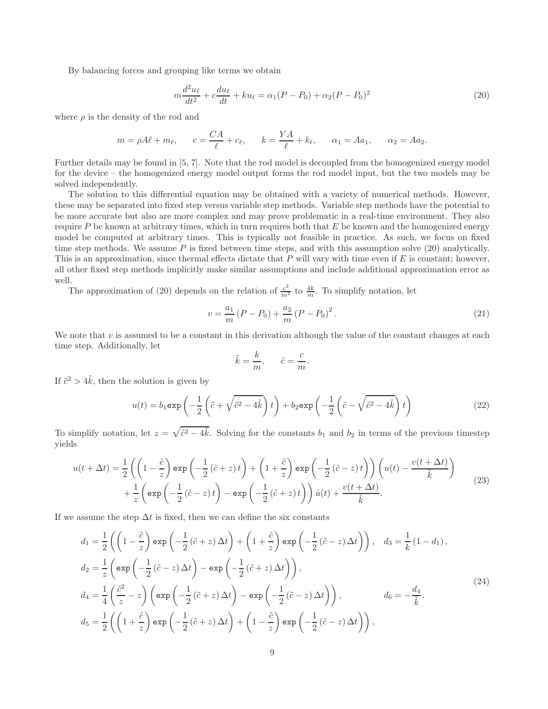By balancing forces and grouping like terms we obtain

$$
m\frac{d^2u_{\ell}}{dt^2} + c\frac{du_{\ell}}{dt} + ku_{\ell} = \alpha_1(P - P_0) + \alpha_2(P - P_0)^2
$$
\n(20)

where  $\rho$  is the density of the rod and

$$
m = \rho A\ell + m_{\ell},
$$
  $c = \frac{CA}{\ell} + c_{\ell},$   $k = \frac{YA}{\ell} + k_{\ell},$   $\alpha_1 = A\alpha_1,$   $\alpha_2 = A\alpha_2.$ 

Further details may be found in [5, 7]. Note that the rod model is decoupled from the homogenized energy model for the device – the homogenized energy model output forms the rod model input, but the two models may be solved independently.

The solution to this differential equation may be obtained with a variety of numerical methods. However, these may be separated into fixed step versus variable step methods. Variable step methods have the potential to be more accurate but also are more complex and may prove problematic in a real-time environment. They also require  $P$  be known at arbitrary times, which in turn requires both that  $E$  be known and the homogenized energy model be computed at arbitrary times. This is typically not feasible in practice. As such, we focus on fixed time step methods. We assume  $P$  is fixed between time steps, and with this assumption solve (20) analytically. This is an approximation, since thermal effects dictate that  $P$  will vary with time even if  $E$  is constant; however, all other fixed step methods implicitly make similar assumptions and include additional approximation error as well.

The approximation of (20) depends on the relation of  $\frac{c^2}{m^2}$  to  $\frac{4k}{m}$ . To simplify notation, let

$$
v = \frac{a_1}{m} (P - P_0) + \frac{a_2}{m} (P - P_0)^2.
$$
 (21)

We note that  $v$  is assumed to be a constant in this derivation although the value of the constant changes at each time step. Additionally, let

$$
\tilde{k} = \frac{k}{m}, \qquad \tilde{c} = \frac{c}{m}.
$$

If  $\tilde{c}^2 > 4\tilde{k}$ , then the solution is given by

$$
u(t) = b_1 \exp\left(-\frac{1}{2}\left(\tilde{c} + \sqrt{\tilde{c}^2 - 4\tilde{k}}\right)t\right) + b_2 \exp\left(-\frac{1}{2}\left(\tilde{c} - \sqrt{\tilde{c}^2 - 4\tilde{k}}\right)t\right)
$$
(22)

To simplify notation, let  $z = \sqrt{\tilde{c}^2 - 4\tilde{k}}$ . Solving for the constants  $b_1$  and  $b_2$  in terms of the previous timestep yields

$$
u(t + \Delta t) = \frac{1}{2} \left( \left( 1 - \frac{\tilde{c}}{z} \right) \exp \left( -\frac{1}{2} \left( \tilde{c} + z \right) t \right) + \left( 1 + \frac{\tilde{c}}{z} \right) \exp \left( -\frac{1}{2} \left( \tilde{c} - z \right) t \right) \right) \left( u(t) - \frac{v(t + \Delta t)}{\tilde{k}} \right) + \frac{1}{z} \left( \exp \left( -\frac{1}{2} \left( \tilde{c} - z \right) t \right) - \exp \left( -\frac{1}{2} \left( \tilde{c} + z \right) t \right) \right) \dot{u}(t) + \frac{v(t + \Delta t)}{\tilde{k}}.
$$
\n(23)

If we assume the step  $\Delta t$  is fixed, then we can define the six constants

$$
d_1 = \frac{1}{2} \left( \left( 1 - \frac{\tilde{c}}{z} \right) \exp \left( -\frac{1}{2} \left( \tilde{c} + z \right) \Delta t \right) + \left( 1 + \frac{\tilde{c}}{z} \right) \exp \left( -\frac{1}{2} \left( \tilde{c} - z \right) \Delta t \right) \right), \quad d_3 = \frac{1}{k} \left( 1 - d_1 \right),
$$
  
\n
$$
d_2 = \frac{1}{z} \left( \exp \left( -\frac{1}{2} \left( \tilde{c} - z \right) \Delta t \right) - \exp \left( -\frac{1}{2} \left( \tilde{c} + z \right) \Delta t \right) \right),
$$
  
\n
$$
d_4 = \frac{1}{4} \left( \frac{\tilde{c}^2}{z} - z \right) \left( \exp \left( -\frac{1}{2} \left( \tilde{c} + z \right) \Delta t \right) - \exp \left( -\frac{1}{2} \left( \tilde{c} - z \right) \Delta t \right) \right), \qquad d_6 = -\frac{d_4}{\tilde{k}}.
$$
  
\n
$$
d_5 = \frac{1}{2} \left( \left( 1 + \frac{\tilde{c}}{z} \right) \exp \left( -\frac{1}{2} \left( \tilde{c} + z \right) \Delta t \right) + \left( 1 - \frac{\tilde{c}}{z} \right) \exp \left( -\frac{1}{2} \left( \tilde{c} - z \right) \Delta t \right) \right),
$$
  
\n(24)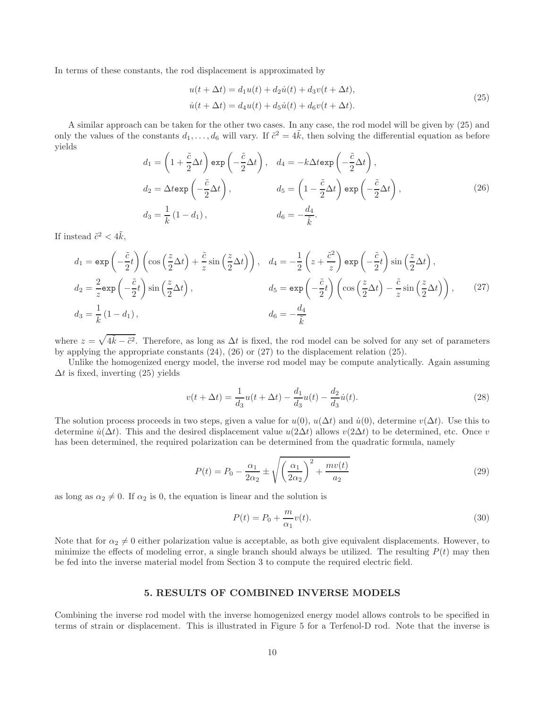In terms of these constants, the rod displacement is approximated by

$$
u(t + \Delta t) = d_1 u(t) + d_2 \dot{u}(t) + d_3 v(t + \Delta t),
$$
  
\n
$$
\dot{u}(t + \Delta t) = d_4 u(t) + d_5 \dot{u}(t) + d_6 v(t + \Delta t).
$$
\n(25)

A similar approach can be taken for the other two cases. In any case, the rod model will be given by (25) and only the values of the constants  $d_1, \ldots, d_6$  will vary. If  $\tilde{c}^2 = 4\tilde{k}$ , then solving the differential equation as before yields  $\Delta$ 

$$
d_1 = \left(1 + \frac{\tilde{c}}{2}\Delta t\right) \exp\left(-\frac{\tilde{c}}{2}\Delta t\right), \quad d_4 = -k\Delta t \exp\left(-\frac{\tilde{c}}{2}\Delta t\right),
$$
  
\n
$$
d_2 = \Delta t \exp\left(-\frac{\tilde{c}}{2}\Delta t\right), \qquad d_5 = \left(1 - \frac{\tilde{c}}{2}\Delta t\right) \exp\left(-\frac{\tilde{c}}{2}\Delta t\right),
$$
  
\n
$$
d_3 = \frac{1}{k}(1 - d_1), \qquad d_6 = -\frac{d_4}{\tilde{k}}.
$$
\n(26)

If instead  $\tilde{c}^2 < 4\tilde{k}$ ,

$$
d_1 = \exp\left(-\frac{\tilde{c}}{2}t\right) \left(\cos\left(\frac{z}{2}\Delta t\right) + \frac{\tilde{c}}{z}\sin\left(\frac{z}{2}\Delta t\right)\right), \quad d_4 = -\frac{1}{2}\left(z + \frac{\tilde{c}^2}{z}\right) \exp\left(-\frac{\tilde{c}}{2}t\right) \sin\left(\frac{z}{2}\Delta t\right),
$$
  
\n
$$
d_2 = \frac{2}{z} \exp\left(-\frac{\tilde{c}}{2}t\right) \sin\left(\frac{z}{2}\Delta t\right), \qquad d_5 = \exp\left(-\frac{\tilde{c}}{2}t\right) \left(\cos\left(\frac{z}{2}\Delta t\right) - \frac{\tilde{c}}{z}\sin\left(\frac{z}{2}\Delta t\right)\right), \qquad (27)
$$
  
\n
$$
d_3 = \frac{1}{k} (1 - d_1), \qquad d_6 = -\frac{d_4}{\tilde{k}}
$$

where  $z = \sqrt{4\tilde{k} - \tilde{c}^2}$ . Therefore, as long as  $\Delta t$  is fixed, the rod model can be solved for any set of parameters by applying the appropriate constants  $(24)$ ,  $(26)$  or  $(27)$  to the displacement relation  $(25)$ .

Unlike the homogenized energy model, the inverse rod model may be compute analytically. Again assuming  $\Delta t$  is fixed, inverting (25) yields

$$
v(t + \Delta t) = \frac{1}{d_3}u(t + \Delta t) - \frac{d_1}{d_3}u(t) - \frac{d_2}{d_3}\dot{u}(t).
$$
\n(28)

The solution process proceeds in two steps, given a value for  $u(0)$ ,  $u(\Delta t)$  and  $\dot{u}(0)$ , determine  $v(\Delta t)$ . Use this to determine  $\dot{u}(\Delta t)$ . This and the desired displacement value  $u(2\Delta t)$  allows  $v(2\Delta t)$  to be determined, etc. Once v has been determined, the required polarization can be determined from the quadratic formula, namely

$$
P(t) = P_0 - \frac{\alpha_1}{2\alpha_2} \pm \sqrt{\left(\frac{\alpha_1}{2\alpha_2}\right)^2 + \frac{mv(t)}{a_2}}
$$
\n
$$
(29)
$$

as long as  $\alpha_2 \neq 0$ . If  $\alpha_2$  is 0, the equation is linear and the solution is

$$
P(t) = P_0 + \frac{m}{\alpha_1} v(t).
$$
\n(30)

Note that for  $\alpha_2 \neq 0$  either polarization value is acceptable, as both give equivalent displacements. However, to minimize the effects of modeling error, a single branch should always be utilized. The resulting  $P(t)$  may then be fed into the inverse material model from Section 3 to compute the required electric field.

# 5. RESULTS OF COMBINED INVERSE MODELS

Combining the inverse rod model with the inverse homogenized energy model allows controls to be specified in terms of strain or displacement. This is illustrated in Figure 5 for a Terfenol-D rod. Note that the inverse is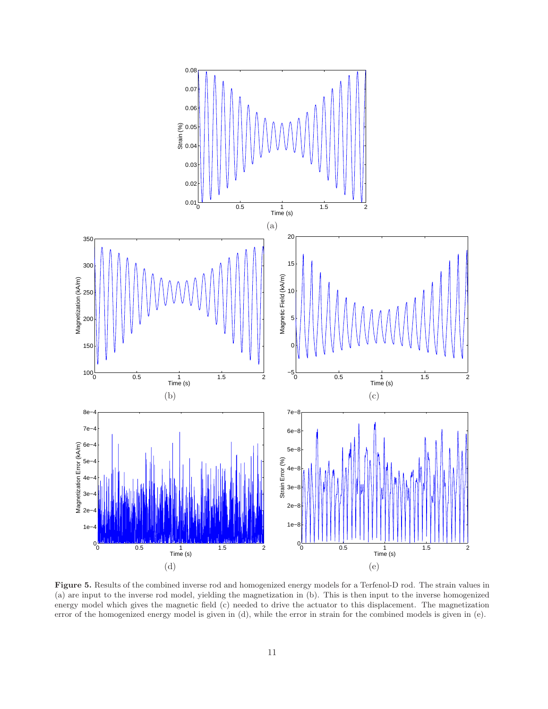

Figure 5. Results of the combined inverse rod and homogenized energy models for a Terfenol-D rod. The strain values in (a) are input to the inverse rod model, yielding the magnetization in (b). This is then input to the inverse homogenized energy model which gives the magnetic field (c) needed to drive the actuator to this displacement. The magnetization error of the homogenized energy model is given in (d), while the error in strain for the combined models is given in (e).